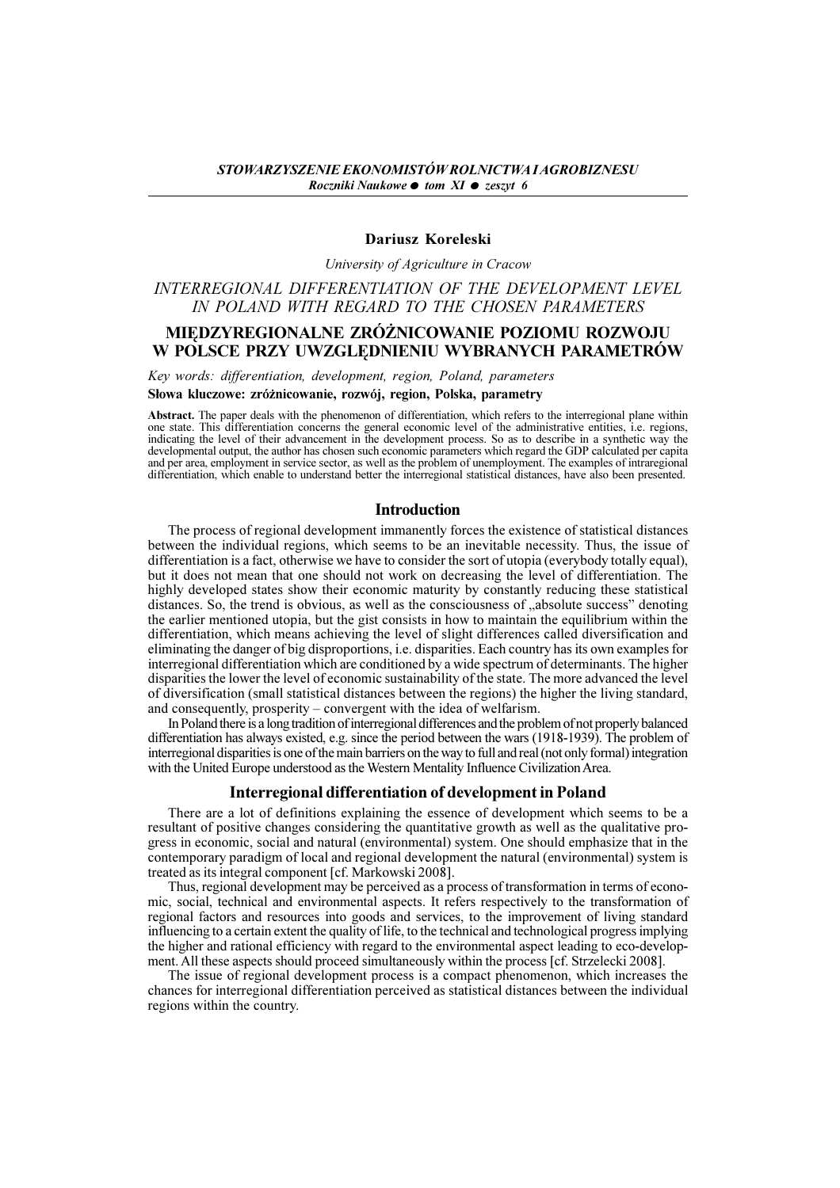# Dariusz Koreleski

University of Agriculture in Cracow

# INTERREGIONAL DIFFERENTIATION OF THE DEVELOPMENT LEVEL IN POLAND WITH REGARD TO THE CHOSEN PARAMETERS

# MIEDZYREGIONALNE ZRÓŻNICOWANIE POZIOMU ROZWOJU W POLSCE PRZY UWZGLÊDNIENIU WYBRANYCH PARAMETRÓW

Key words: differentiation, development, region, Poland, parameters

#### Słowa kluczowe: zróżnicowanie, rozwój, region, Polska, parametry

Abstract. The paper deals with the phenomenon of differentiation, which refers to the interregional plane within one state. This differentiation concerns the general economic level of the administrative entities, i.e. regions, indicating the level of their advancement in the development process. So as to describe in a synthetic way the developmental output, the author has chosen such economic parameters which regard the GDP calculated per capita and per area, employment in service sector, as well as the problem of unemployment. The examples of intraregional differentiation, which enable to understand better the interregional statistical distances, have also been presented.

### Introduction

The process of regional development immanently forces the existence of statistical distances between the individual regions, which seems to be an inevitable necessity. Thus, the issue of differentiation is a fact, otherwise we have to consider the sort of utopia (everybody totally equal), but it does not mean that one should not work on decreasing the level of differentiation. The highly developed states show their economic maturity by constantly reducing these statistical distances. So, the trend is obvious, as well as the consciousness of "absolute success" denoting the earlier mentioned utopia, but the gist consists in how to maintain the equilibrium within the differentiation, which means achieving the level of slight differences called diversification and eliminating the danger of big disproportions, i.e. disparities. Each country has its own examples for interregional differentiation which are conditioned by a wide spectrum of determinants. The higher disparities the lower the level of economic sustainability of the state. The more advanced the level of diversification (small statistical distances between the regions) the higher the living standard, and consequently, prosperity  $-\tilde{\text{convergent}}$  with the idea of welfarism.

In Poland there is a long tradition of interregional differences and the problem of not properly balanced differentiation has always existed, e.g. since the period between the wars (1918-1939). The problem of interregional disparities is one of the main barriers on the way to full and real (not only formal) integration with the United Europe understood as the Western Mentality Influence Civilization Area.

## Interregional differentiation of development in Poland

There are a lot of definitions explaining the essence of development which seems to be a resultant of positive changes considering the quantitative growth as well as the qualitative progress in economic, social and natural (environmental) system. One should emphasize that in the contemporary paradigm of local and regional development the natural (environmental) system is treated as its integral component [cf. Markowski 2008].

Thus, regional development may be perceived as a process of transformation in terms of economic, social, technical and environmental aspects. It refers respectively to the transformation of regional factors and resources into goods and services, to the improvement of living standard influencing to a certain extent the quality of life, to the technical and technological progress implying the higher and rational efficiency with regard to the environmental aspect leading to eco-development. All these aspects should proceed simultaneously within the process [cf. Strzelecki 2008].

The issue of regional development process is a compact phenomenon, which increases the chances for interregional differentiation perceived as statistical distances between the individual regions within the country.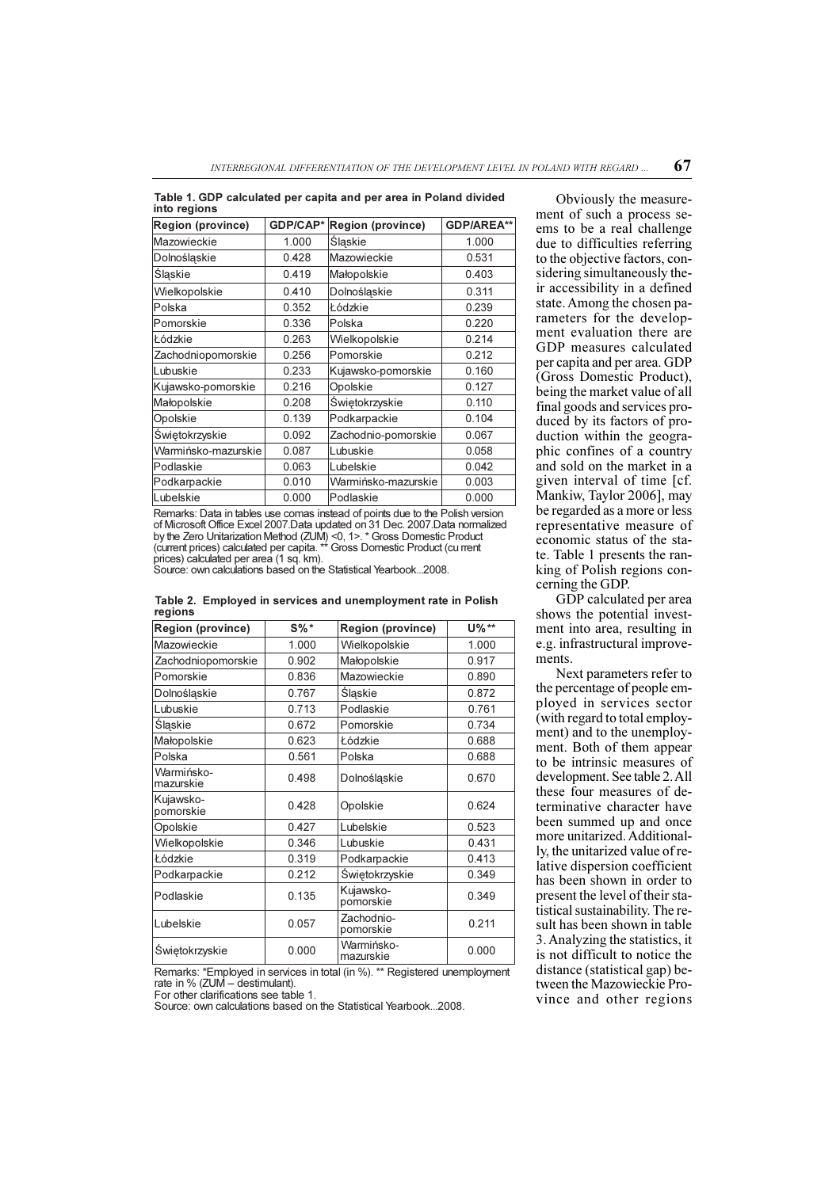| Table 1. GDP calculated per capita and per area in Poland divided |  |  |  |
|-------------------------------------------------------------------|--|--|--|
| into regions                                                      |  |  |  |

| <b>Region (province)</b> | GDP/CAP* | <b>Region (province)</b> | <b>GDP/AREA**</b> |
|--------------------------|----------|--------------------------|-------------------|
| Mazowieckie              | 1.000    | Śląskie                  | 1.000             |
| Dolnośląskie             | 0.428    | Mazowieckie              | 0.531             |
| Śląskie                  | 0.419    | Małopolskie              | 0.403             |
| Wielkopolskie            | 0.410    | Dolnośląskie             | 0.311             |
| Polska                   | 0.352    | Łódzkie                  | 0.239             |
| Pomorskie                | 0.336    | Polska                   | 0.220             |
| Łódzkie                  | 0.263    | Wielkopolskie            | 0.214             |
| Zachodniopomorskie       | 0.256    | Pomorskie                | 0.212             |
| Lubuskie                 | 0.233    | Kujawsko-pomorskie       | 0.160             |
| Kujawsko-pomorskie       | 0.216    | Opolskie                 | 0.127             |
| Małopolskie              | 0.208    | Świętokrzyskie           | 0.110             |
| Opolskie                 | 0.139    | Podkarpackie             | 0.104             |
| Świętokrzyskie           | 0.092    | Zachodnio-pomorskie      | 0.067             |
| Warmińsko-mazurskie      | 0.087    | Lubuskie                 | 0.058             |
| Podlaskie                | 0.063    | Lubelskie                | 0.042             |
| Podkarpackie             | 0.010    | Warmińsko-mazurskie      | 0.003             |
| Lubelskie                | 0.000    | Podlaskie                | 0.000             |

Remarks: Data in tables use comas instead of points due to the Polish version of Microsoft Office Excel 2007.Data updated on 31 Dec. 2007.Data normalized<br>by the Zero Unitarization Method (ZUM) <0, 1>. \* Gross Domestic Product<br>(current prices) calculated per capita. \*\* Gross Domestic Product (cu rren prices) calculated per area (1 sq. km). Source: own calculations based on the Statistical Yearbook...2008.

|         |  | Table 2. Employed in services and unemployment rate in Polish |  |
|---------|--|---------------------------------------------------------------|--|
| regions |  |                                                               |  |

| <b>Region (province)</b> | $S\%*$ | <b>Region (province)</b> | U%**  |
|--------------------------|--------|--------------------------|-------|
| Mazowieckie              | 1.000  | Wielkopolskie            | 1.000 |
| Zachodniopomorskie       | 0.902  | Małopolskie              | 0.917 |
| Pomorskie                | 0.836  | Mazowieckie              | 0.890 |
| Dolnośląskie             | 0.767  | Śląskie                  | 0.872 |
| Lubuskie                 | 0.713  | Podlaskie                | 0.761 |
| Śląskie                  | 0.672  | Pomorskie                | 0.734 |
| Małopolskie              | 0.623  | Łódzkie                  | 0.688 |
| Polska                   | 0.561  | Polska                   | 0.688 |
| Warmińsko-<br>mazurskie  | 0.498  | Dolnośląskie             | 0.670 |
| Kujawsko-<br>pomorskie   | 0.428  | Opolskie                 | 0.624 |
| Opolskie                 | 0.427  | Lubelskie                | 0.523 |
| Wielkopolskie            | 0.346  | Lubuskie                 | 0.431 |
| Łódzkie                  | 0.319  | Podkarpackie             | 0.413 |
| Podkarpackie             | 0.212  | Świętokrzyskie           | 0.349 |
| Podlaskie                | 0.135  | Kujawsko-<br>pomorskie   | 0.349 |
| Lubelskie                | 0.057  | Zachodnio-<br>pomorskie  | 0.211 |
| Świętokrzyskie           | 0.000  | Warmińsko-<br>mazurskie  | 0.000 |

Remarks: \*Employed in services in total (in %). \*\* Registered unemployment rate in % (ZUM – destimulant).<br>For other clarifications see table 1.

Source: own calculations based on the Statistical Yearbook...2008.

Obviously the measurement of such a process seems to be a real challenge due to difficulties referring to the objective factors, considering simultaneously their accessibility in a defined state. Among the chosen parameters for the development evaluation there are GDP measures calculated per capita and per area. GDP (Gross Domestic Product), being the market value of all final goods and services produced by its factors of production within the geographic confines of a country and sold on the market in a given interval of time [cf. Mankiw, Taylor 2006], may be regarded as a more or less representative measure of economic status of the state. Table 1 presents the ranking of Polish regions concerning the GDP.

GDP calculated per area shows the potential investment into area, resulting in e.g. infrastructural improvements.

Next parameters refer to the percentage of people employed in services sector (with regard to total employment) and to the unemployment. Both of them appear to be intrinsic measures of development. See table 2. All these four measures of determinative character have been summed up and once more unitarized. Additionally, the unitarized value of relative dispersion coefficient has been shown in order to present the level of their statistical sustainability. The result has been shown in table 3. Analyzing the statistics, it is not difficult to notice the distance (statistical gap) between the Mazowieckie Province and other regions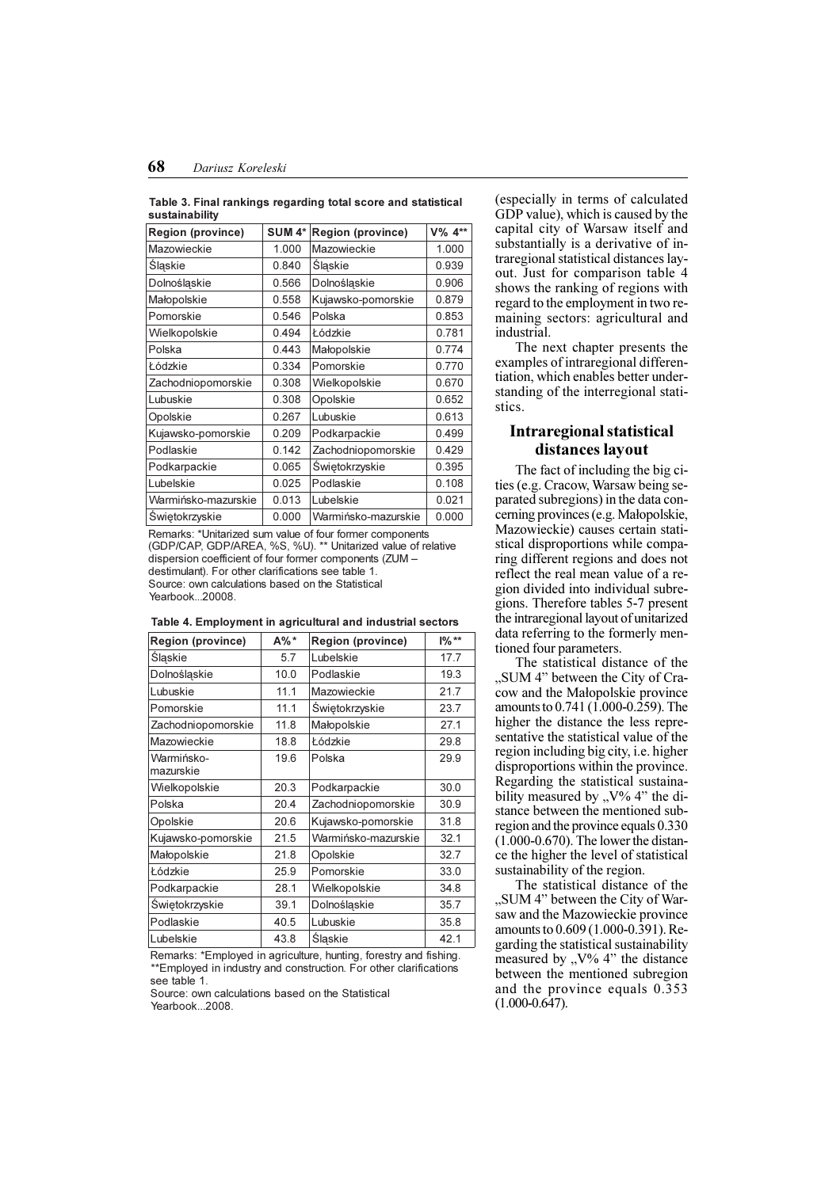Table 3. Final rankings regarding total score and statistical sustainability

| <b>Region (province)</b> | <b>SUM 4*</b> | <b>Region (province)</b> | V% 4** |
|--------------------------|---------------|--------------------------|--------|
| Mazowieckie              | 1.000         | Mazowieckie              | 1.000  |
| Śląskie                  | 0.840         | Śląskie                  | 0.939  |
| Dolnośląskie             | 0.566         | Dolnośląskie             | 0.906  |
| Małopolskie              | 0.558         | Kujawsko-pomorskie       | 0.879  |
| Pomorskie                | 0.546         | Polska                   | 0.853  |
| Wielkopolskie            | 0.494         | Łódzkie                  | 0.781  |
| Polska                   | 0.443         | Małopolskie              | 0.774  |
| Łódzkie                  | 0.334         | Pomorskie                | 0.770  |
| Zachodniopomorskie       | 0.308         | Wielkopolskie            | 0.670  |
| Lubuskie                 | 0.308         | Opolskie                 | 0.652  |
| Opolskie                 | 0.267         | Lubuskie                 | 0.613  |
| Kujawsko-pomorskie       | 0.209         | Podkarpackie             | 0.499  |
| Podlaskie                | 0.142         | Zachodniopomorskie       | 0.429  |
| Podkarpackie             | 0.065         | Świętokrzyskie           | 0.395  |
| Lubelskie                | 0.025         | Podlaskie                | 0.108  |
| Warmińsko-mazurskie      | 0.013         | Lubelskie                | 0.021  |
| <b>Świętokrzyskie</b>    | 0.000         | Warmińsko-mazurskie      | 0.000  |

Remarks: \*Unitarized sum value of four former components (GDP/CAP, GDP/AREA, %S, %U). \*\* Unitarized value of relative dispersion coefficient of four former components (ZUM destimulant). For other clarifications see table 1. Source: own calculations based on the Statistical Yearbook...20008.

| <b>Region (province)</b> | A%*  | <b>Region (province)</b> | $1\%**$ |
|--------------------------|------|--------------------------|---------|
| <b>Slaskie</b>           | 5.7  | Lubelskie                | 17.7    |
| Dolnośląskie             | 10.0 | Podlaskie                | 19.3    |
| Lubuskie                 | 11.1 | Mazowieckie              | 21.7    |
| Pomorskie                | 11.1 | Świętokrzyskie           | 23.7    |
| Zachodniopomorskie       | 11.8 | Małopolskie              | 27.1    |
| Mazowieckie              | 18.8 | Łódzkie                  | 29.8    |
| Warmińsko-<br>mazurskie  | 19.6 | Polska                   | 29.9    |
| Wielkopolskie            | 20.3 | Podkarpackie             | 30.0    |
| Polska                   | 20.4 | Zachodniopomorskie       | 30.9    |
| Opolskie                 | 20.6 | Kujawsko-pomorskie       | 31.8    |
| Kujawsko-pomorskie       | 21.5 | Warmińsko-mazurskie      | 32.1    |
| Małopolskie              | 21.8 | Opolskie                 | 32.7    |
| Łódzkie                  | 25.9 | Pomorskie                | 33.0    |
| Podkarpackie             | 28.1 | Wielkopolskie            | 34.8    |
| Świętokrzyskie           | 39.1 | Dolnoślaskie             | 35.7    |
| Podlaskie                | 40.5 | Lubuskie                 | 35.8    |
| Lubelskie                | 43.8 | Śląskie                  | 42.1    |

Remarks: \*Employed in agriculture, hunting, forestry and fishing. \*\*Employed in industry and construction. For other clarifications see table 1.

Source: own calculations based on the Statistical Yearbook...2008.

(especially in terms of calculated GDP value), which is caused by the capital city of Warsaw itself and substantially is a derivative of intraregional statistical distances layout. Just for comparison table 4 shows the ranking of regions with regard to the employment in two remaining sectors: agricultural and industrial.

The next chapter presents the examples of intraregional differentiation, which enables better understanding of the interregional statistics.

# Intraregional statistical distances layout

The fact of including the big cities (e.g. Cracow, Warsaw being separated subregions) in the data concerning provinces (e.g. Małopolskie, Mazowieckie) causes certain statistical disproportions while comparing different regions and does not reflect the real mean value of a region divided into individual subregions. Therefore tables 5-7 present the intraregional layout of unitarized data referring to the formerly mentioned four parameters.

The statistical distance of the "SUM 4" between the City of Cracow and the Małopolskie province amounts to 0.741 (1.000-0.259). The higher the distance the less representative the statistical value of the region including big city, i.e. higher disproportions within the province. Regarding the statistical sustainability measured by  $\sqrt{v}$  4" the distance between the mentioned subregion and the province equals 0.330 (1.000-0.670). The lower the distance the higher the level of statistical sustainability of the region.

The statistical distance of the "SUM 4" between the City of Warsaw and the Mazowieckie province amounts to 0.609 (1.000-0.391). Regarding the statistical sustainability measured by  $, V\% 4"$  the distance between the mentioned subregion and the province equals 0.353 (1.000-0.647).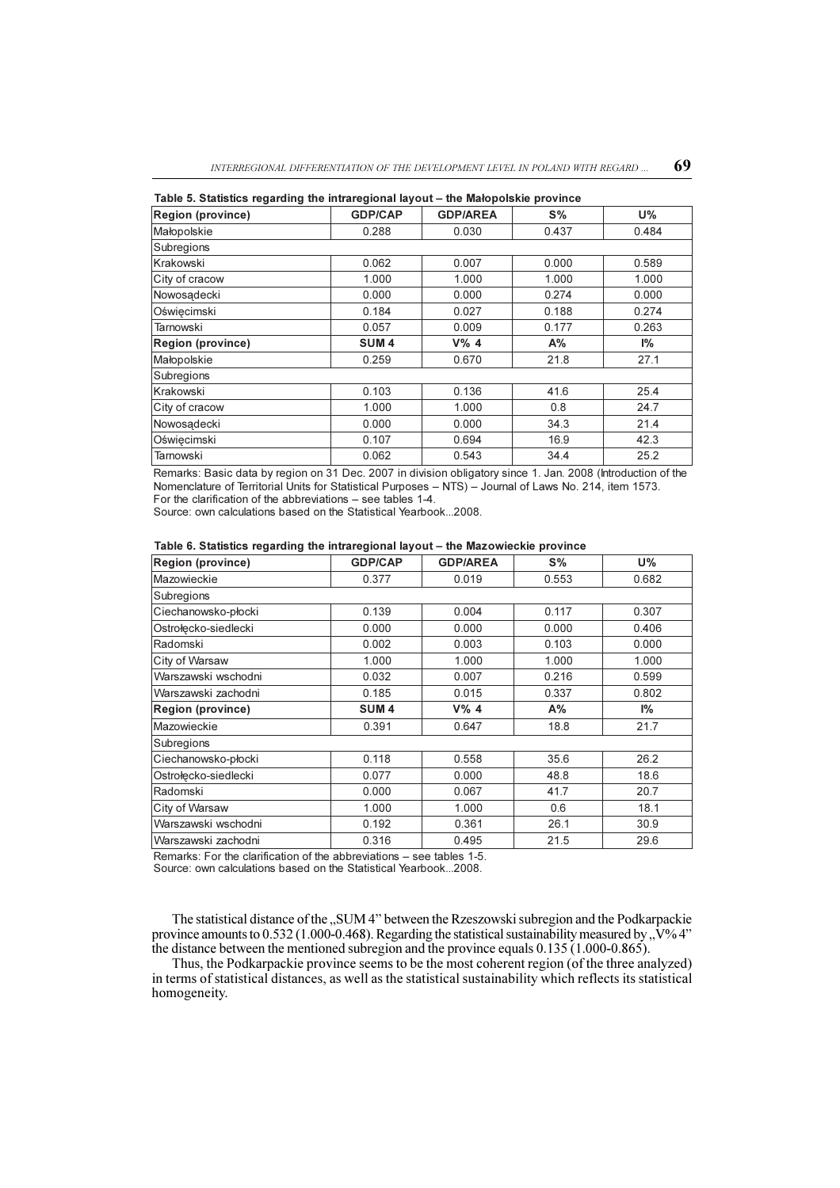| $1$ able J. Jiausucs Tegarumy the intraregional layout – the malopoishie province |                  |                 |       |       |  |  |
|-----------------------------------------------------------------------------------|------------------|-----------------|-------|-------|--|--|
| <b>Region (province)</b>                                                          | <b>GDP/CAP</b>   | <b>GDP/AREA</b> | $S\%$ | $U\%$ |  |  |
| Małopolskie                                                                       | 0.288            | 0.030           | 0.437 | 0.484 |  |  |
| Subregions                                                                        |                  |                 |       |       |  |  |
| Krakowski                                                                         | 0.062            | 0.007           | 0.000 | 0.589 |  |  |
| City of cracow                                                                    | 1.000            | 1.000           | 1.000 | 1.000 |  |  |
| Nowosadecki                                                                       | 0.000            | 0.000           | 0.274 | 0.000 |  |  |
| Oświecimski                                                                       | 0.184            | 0.027           | 0.188 | 0.274 |  |  |
| <b>Tarnowski</b>                                                                  | 0.057            | 0.009           | 0.177 | 0.263 |  |  |
| <b>Region (province)</b>                                                          | SUM <sub>4</sub> | $V\%$ 4         | $A\%$ | $1\%$ |  |  |
| Małopolskie                                                                       | 0.259            | 0.670           | 21.8  | 27.1  |  |  |
| Subregions                                                                        |                  |                 |       |       |  |  |
| Krakowski                                                                         | 0.103            | 0.136           | 41.6  | 25.4  |  |  |
| City of cracow                                                                    | 1.000            | 1.000           | 0.8   | 24.7  |  |  |
| Nowosadecki                                                                       | 0.000            | 0.000           | 34.3  | 21.4  |  |  |
| Oświecimski                                                                       | 0.107            | 0.694           | 16.9  | 42.3  |  |  |
| Tarnowski                                                                         | 0.062            | 0.543           | 34.4  | 25.2  |  |  |

Table 5. Statistics regarding the intraregional layout - the Makopolskie province

Remarks: Basic data by region on 31 Dec. 2007 in division obligatory since 1. Jan. 2008 (Introduction of the Nomenclature of Territorial Units for Statistical Purposes - NTS) - Journal of Laws No. 214, item 1573. For the clarification of the abbreviations  $-$  see tables 1-4.

Source: own calculations based on the Statistical Yearbook...2008.

## Table 6. Statistics regarding the intraregional layout - the Mazowieckie province

| <b>Region (province)</b> | <b>GDP/CAP</b>   | <b>GDP/AREA</b> | $S\%$ | <b>U%</b> |
|--------------------------|------------------|-----------------|-------|-----------|
| Mazowieckie              | 0.377            | 0.019           | 0.553 | 0.682     |
| Subregions               |                  |                 |       |           |
| Ciechanowsko-płocki      | 0.139            | 0.004           | 0.117 | 0.307     |
| Ostrołecko-siedlecki     | 0.000            | 0.000           | 0.000 | 0.406     |
| Radomski                 | 0.002            | 0.003           | 0.103 | 0.000     |
| City of Warsaw           | 1.000            | 1.000           | 1.000 | 1.000     |
| Warszawski wschodni      | 0.032            | 0.007           | 0.216 | 0.599     |
| Warszawski zachodni      | 0.185            | 0.015           | 0.337 | 0.802     |
| <b>Region (province)</b> | SUM <sub>4</sub> | $V\%$ 4         | A%    | 1%        |
| Mazowieckie              | 0.391            | 0.647           | 18.8  | 21.7      |
| Subregions               |                  |                 |       |           |
| Ciechanowsko-płocki      | 0.118            | 0.558           | 35.6  | 26.2      |
| Ostrołęcko-siedlecki     | 0.077            | 0.000           | 48.8  | 18.6      |
| Radomski                 | 0.000            | 0.067           | 41.7  | 20.7      |
| City of Warsaw           | 1.000            | 1.000           | 0.6   | 18.1      |
| Warszawski wschodni      | 0.192            | 0.361           | 26.1  | 30.9      |
| Warszawski zachodni      | 0.316            | 0.495           | 21.5  | 29.6      |

Remarks: For the clarification of the abbreviations - see tables 1-5.

Source: own calculations based on the Statistical Yearbook...2008.

The statistical distance of the "SUM 4" between the Rzeszowski subregion and the Podkarpackie province amounts to 0.532 (1.000-0.468). Regarding the statistical sustainability measured by  $\sqrt{v}$  4" the distance between the mentioned subregion and the province equals 0.135 (1.000-0.865).

Thus, the Podkarpackie province seems to be the most coherent region (of the three analyzed) in terms of statistical distances, as well as the statistical sustainability which reflects its statistical homogeneity.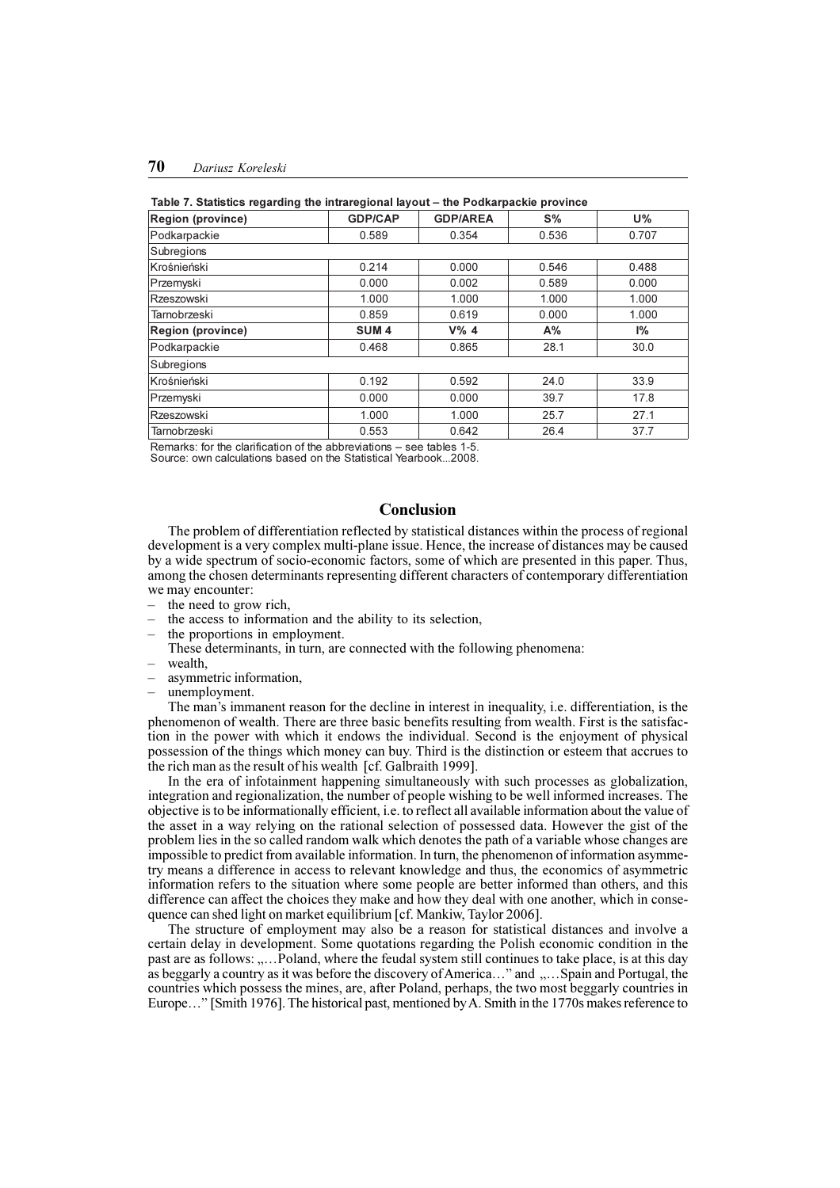## 70 Dariusz Koreleski

| <b>Region (province)</b> | <b>GDP/CAP</b>   | <b>GDP/AREA</b> | $S\%$ | <b>U%</b>      |
|--------------------------|------------------|-----------------|-------|----------------|
| Podkarpackie             | 0.589            | 0.354           | 0.536 | 0.707          |
| Subregions               |                  |                 |       |                |
| Krośnieński              | 0.214            | 0.000           | 0.546 | 0.488          |
| Przemyski                | 0.000            | 0.002           | 0.589 | 0.000          |
| Rzeszowski               | 1.000            | 1.000           | 1.000 | 1.000          |
| <b>Tarnobrzeski</b>      | 0.859            | 0.619           | 0.000 | 1.000          |
| <b>Region (province)</b> | SUM <sub>4</sub> | $V\%$ 4         | A%    | P <sub>6</sub> |
| Podkarpackie             | 0.468            | 0.865           | 28.1  | 30.0           |
| Subregions               |                  |                 |       |                |
| Krośnieński              | 0.192            | 0.592           | 24.0  | 33.9           |
| Przemyski                | 0.000            | 0.000           | 39.7  | 17.8           |
| Rzeszowski               | 1.000            | 1.000           | 25.7  | 27.1           |
| <b>Tarnobrzeski</b>      | 0.553            | 0.642           | 26.4  | 37.7           |

### Table 7. Statistics regarding the intraregional layout - the Podkarpackie province

Remarks: for the clarification of the abbreviations  $-$  see tables 1-5. Source: own calculations based on the Statistical Yearbook...2008.

## Conclusion

The problem of differentiation reflected by statistical distances within the process of regional development is a very complex multi-plane issue. Hence, the increase of distances may be caused by a wide spectrum of socio-economic factors, some of which are presented in this paper. Thus, among the chosen determinants representing different characters of contemporary differentiation we may encounter:

- the need to grow rich,
- the access to information and the ability to its selection,
- the proportions in employment.
- These determinants, in turn, are connected with the following phenomena: wealth,
- asymmetric information,
- unemployment.

The man's immanent reason for the decline in interest in inequality, i.e. differentiation, is the phenomenon of wealth. There are three basic benefits resulting from wealth. First is the satisfaction in the power with which it endows the individual. Second is the enjoyment of physical possession of the things which money can buy. Third is the distinction or esteem that accrues to the rich man as the result of his wealth [cf. Galbraith 1999].

In the era of infotainment happening simultaneously with such processes as globalization, integration and regionalization, the number of people wishing to be well informed increases. The objective is to be informationally efficient, i.e. to reflect all available information about the value of the asset in a way relying on the rational selection of possessed data. However the gist of the problem lies in the so called random walk which denotes the path of a variable whose changes are impossible to predict from available information. In turn, the phenomenon of information asymmetry means a difference in access to relevant knowledge and thus, the economics of asymmetric information refers to the situation where some people are better informed than others, and this difference can affect the choices they make and how they deal with one another, which in consequence can shed light on market equilibrium [cf. Mankiw, Taylor 2006].

The structure of employment may also be a reason for statistical distances and involve a certain delay in development. Some quotations regarding the Polish economic condition in the past are as follows: ,....Poland, where the feudal system still continues to take place, is at this day as beggarly a country as it was before the discovery of America ... " and  $\ldots$  Spain and Portugal, the countries which possess the mines, are, after Poland, perhaps, the two most beggarly countries in Europe..." [Smith 1976]. The historical past, mentioned by A. Smith in the 1770s makes reference to